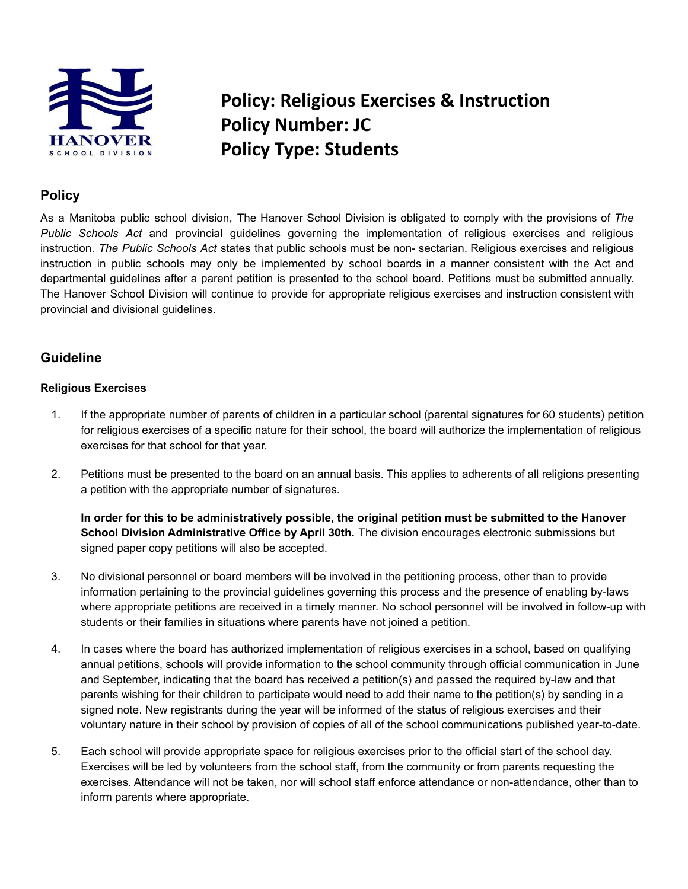

# **Policy: Religious Exercises & Instruction Policy Number: JC Policy Type: Students**

## **Policy**

As a Manitoba public school division, The Hanover School Division is obligated to comply with the provisions of *The Public Schools Act* and provincial guidelines governing the implementation of religious exercises and religious instruction. *The Public Schools Act* states that public schools must be non- sectarian. Religious exercises and religious instruction in public schools may only be implemented by school boards in a manner consistent with the Act and departmental guidelines after a parent petition is presented to the school board. Petitions must be submitted annually. The Hanover School Division will continue to provide for appropriate religious exercises and instruction consistent with provincial and divisional guidelines.

### **Guideline**

#### **Religious Exercises**

- 1. If the appropriate number of parents of children in a particular school (parental signatures for 60 students) petition for religious exercises of a specific nature for their school, the board will authorize the implementation of religious exercises for that school for that year.
- 2. Petitions must be presented to the board on an annual basis. This applies to adherents of all religions presenting a petition with the appropriate number of signatures.

**In order for this to be administratively possible, the original petition must be submitted to the Hanover School Division Administrative Office by April 30th.** The division encourages electronic submissions but signed paper copy petitions will also be accepted.

- 3. No divisional personnel or board members will be involved in the petitioning process, other than to provide information pertaining to the provincial guidelines governing this process and the presence of enabling by-laws where appropriate petitions are received in a timely manner. No school personnel will be involved in follow-up with students or their families in situations where parents have not joined a petition.
- 4. In cases where the board has authorized implementation of religious exercises in a school, based on qualifying annual petitions, schools will provide information to the school community through official communication in June and September, indicating that the board has received a petition(s) and passed the required by-law and that parents wishing for their children to participate would need to add their name to the petition(s) by sending in a signed note. New registrants during the year will be informed of the status of religious exercises and their voluntary nature in their school by provision of copies of all of the school communications published year-to-date.
- 5. Each school will provide appropriate space for religious exercises prior to the official start of the school day. Exercises will be led by volunteers from the school staff, from the community or from parents requesting the exercises. Attendance will not be taken, nor will school staff enforce attendance or non-attendance, other than to inform parents where appropriate.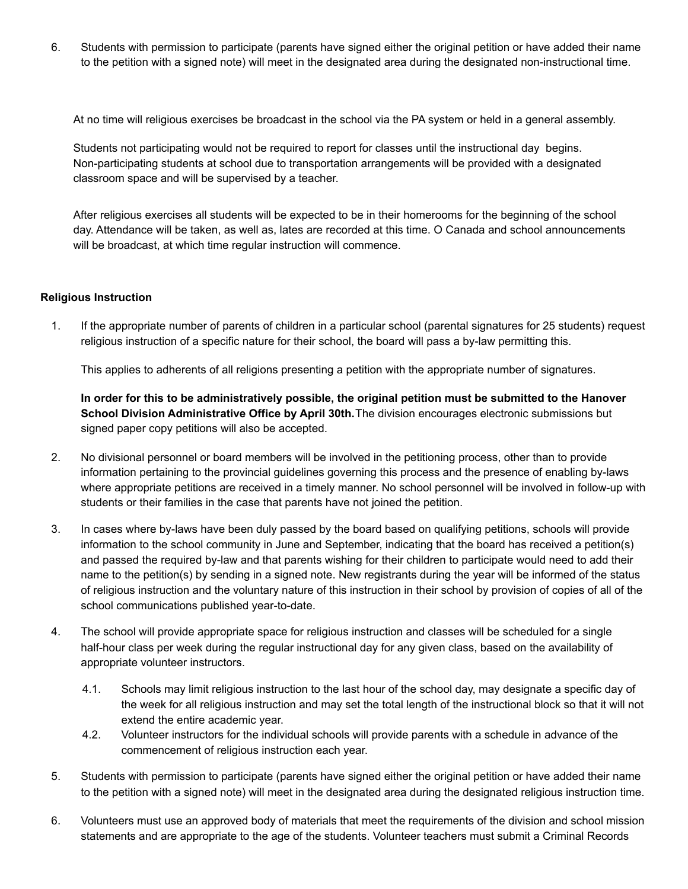6. Students with permission to participate (parents have signed either the original petition or have added their name to the petition with a signed note) will meet in the designated area during the designated non-instructional time.

At no time will religious exercises be broadcast in the school via the PA system or held in a general assembly.

Students not participating would not be required to report for classes until the instructional day begins. Non-participating students at school due to transportation arrangements will be provided with a designated classroom space and will be supervised by a teacher.

After religious exercises all students will be expected to be in their homerooms for the beginning of the school day. Attendance will be taken, as well as, lates are recorded at this time. O Canada and school announcements will be broadcast, at which time regular instruction will commence.

#### **Religious Instruction**

1. If the appropriate number of parents of children in a particular school (parental signatures for 25 students) request religious instruction of a specific nature for their school, the board will pass a by-law permitting this.

This applies to adherents of all religions presenting a petition with the appropriate number of signatures.

**In order for this to be administratively possible, the original petition must be submitted to the Hanover School Division Administrative Office by April 30th.**The division encourages electronic submissions but signed paper copy petitions will also be accepted.

- 2. No divisional personnel or board members will be involved in the petitioning process, other than to provide information pertaining to the provincial guidelines governing this process and the presence of enabling by-laws where appropriate petitions are received in a timely manner. No school personnel will be involved in follow-up with students or their families in the case that parents have not joined the petition.
- 3. In cases where by-laws have been duly passed by the board based on qualifying petitions, schools will provide information to the school community in June and September, indicating that the board has received a petition(s) and passed the required by-law and that parents wishing for their children to participate would need to add their name to the petition(s) by sending in a signed note. New registrants during the year will be informed of the status of religious instruction and the voluntary nature of this instruction in their school by provision of copies of all of the school communications published year-to-date.
- 4. The school will provide appropriate space for religious instruction and classes will be scheduled for a single half-hour class per week during the regular instructional day for any given class, based on the availability of appropriate volunteer instructors.
	- 4.1. Schools may limit religious instruction to the last hour of the school day, may designate a specific day of the week for all religious instruction and may set the total length of the instructional block so that it will not extend the entire academic year.
	- 4.2. Volunteer instructors for the individual schools will provide parents with a schedule in advance of the commencement of religious instruction each year.
- 5. Students with permission to participate (parents have signed either the original petition or have added their name to the petition with a signed note) will meet in the designated area during the designated religious instruction time.
- 6. Volunteers must use an approved body of materials that meet the requirements of the division and school mission statements and are appropriate to the age of the students. Volunteer teachers must submit a Criminal Records